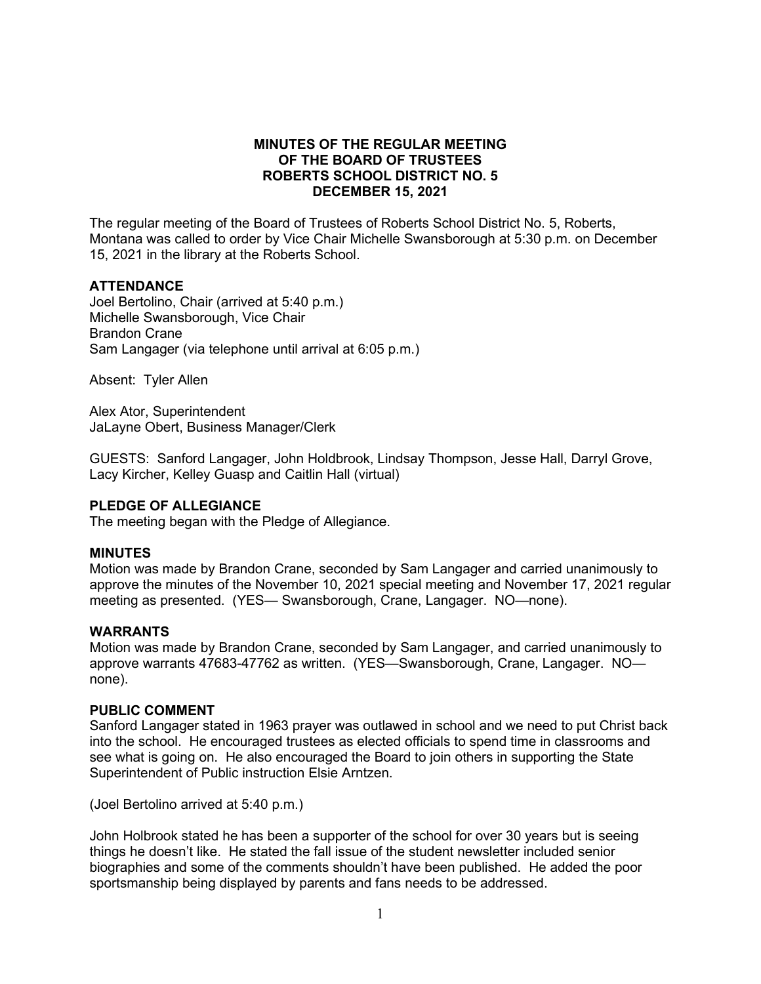## **MINUTES OF THE REGULAR MEETING OF THE BOARD OF TRUSTEES ROBERTS SCHOOL DISTRICT NO. 5 DECEMBER 15, 2021**

The regular meeting of the Board of Trustees of Roberts School District No. 5, Roberts, Montana was called to order by Vice Chair Michelle Swansborough at 5:30 p.m. on December 15, 2021 in the library at the Roberts School.

## **ATTENDANCE**

Joel Bertolino, Chair (arrived at 5:40 p.m.) Michelle Swansborough, Vice Chair Brandon Crane Sam Langager (via telephone until arrival at 6:05 p.m.)

Absent: Tyler Allen

Alex Ator, Superintendent JaLayne Obert, Business Manager/Clerk

GUESTS: Sanford Langager, John Holdbrook, Lindsay Thompson, Jesse Hall, Darryl Grove, Lacy Kircher, Kelley Guasp and Caitlin Hall (virtual)

### **PLEDGE OF ALLEGIANCE**

The meeting began with the Pledge of Allegiance.

### **MINUTES**

Motion was made by Brandon Crane, seconded by Sam Langager and carried unanimously to approve the minutes of the November 10, 2021 special meeting and November 17, 2021 regular meeting as presented. (YES— Swansborough, Crane, Langager. NO—none).

### **WARRANTS**

Motion was made by Brandon Crane, seconded by Sam Langager, and carried unanimously to approve warrants 47683-47762 as written. (YES—Swansborough, Crane, Langager. NO none).

### **PUBLIC COMMENT**

Sanford Langager stated in 1963 prayer was outlawed in school and we need to put Christ back into the school. He encouraged trustees as elected officials to spend time in classrooms and see what is going on. He also encouraged the Board to join others in supporting the State Superintendent of Public instruction Elsie Arntzen.

(Joel Bertolino arrived at 5:40 p.m.)

John Holbrook stated he has been a supporter of the school for over 30 years but is seeing things he doesn't like. He stated the fall issue of the student newsletter included senior biographies and some of the comments shouldn't have been published. He added the poor sportsmanship being displayed by parents and fans needs to be addressed.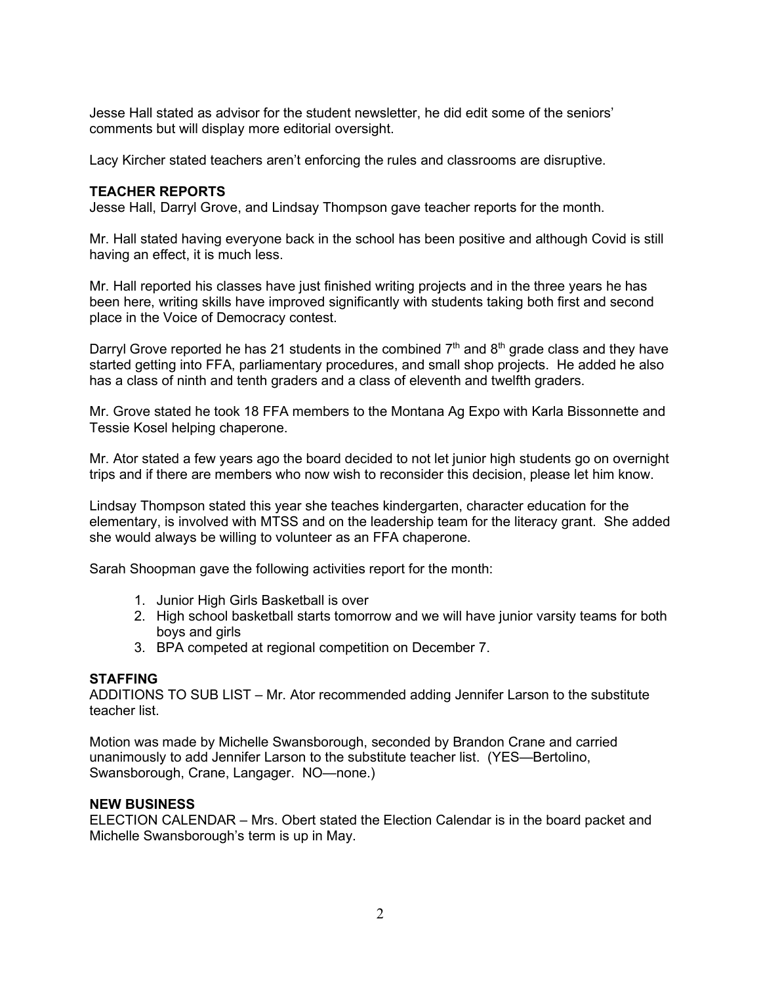Jesse Hall stated as advisor for the student newsletter, he did edit some of the seniors' comments but will display more editorial oversight.

Lacy Kircher stated teachers aren't enforcing the rules and classrooms are disruptive.

# **TEACHER REPORTS**

Jesse Hall, Darryl Grove, and Lindsay Thompson gave teacher reports for the month.

Mr. Hall stated having everyone back in the school has been positive and although Covid is still having an effect, it is much less.

Mr. Hall reported his classes have just finished writing projects and in the three years he has been here, writing skills have improved significantly with students taking both first and second place in the Voice of Democracy contest.

Darryl Grove reported he has 21 students in the combined  $7<sup>th</sup>$  and  $8<sup>th</sup>$  grade class and they have started getting into FFA, parliamentary procedures, and small shop projects. He added he also has a class of ninth and tenth graders and a class of eleventh and twelfth graders.

Mr. Grove stated he took 18 FFA members to the Montana Ag Expo with Karla Bissonnette and Tessie Kosel helping chaperone.

Mr. Ator stated a few years ago the board decided to not let junior high students go on overnight trips and if there are members who now wish to reconsider this decision, please let him know.

Lindsay Thompson stated this year she teaches kindergarten, character education for the elementary, is involved with MTSS and on the leadership team for the literacy grant. She added she would always be willing to volunteer as an FFA chaperone.

Sarah Shoopman gave the following activities report for the month:

- 1. Junior High Girls Basketball is over
- 2. High school basketball starts tomorrow and we will have junior varsity teams for both boys and girls
- 3. BPA competed at regional competition on December 7.

### **STAFFING**

ADDITIONS TO SUB LIST – Mr. Ator recommended adding Jennifer Larson to the substitute teacher list.

Motion was made by Michelle Swansborough, seconded by Brandon Crane and carried unanimously to add Jennifer Larson to the substitute teacher list. (YES—Bertolino, Swansborough, Crane, Langager. NO—none.)

## **NEW BUSINESS**

ELECTION CALENDAR – Mrs. Obert stated the Election Calendar is in the board packet and Michelle Swansborough's term is up in May.